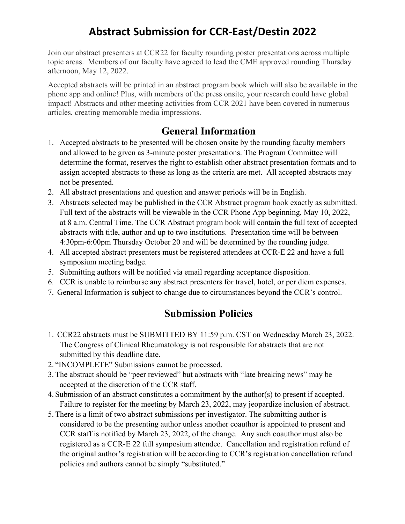# **Abstract Submission for CCR-East/Destin 2022**

Join our abstract presenters at CCR22 for faculty rounding poster presentations across multiple topic areas. Members of our faculty have agreed to lead the CME approved rounding Thursday afternoon, May 12, 2022.

Accepted abstracts will be printed in an abstract program book which will also be available in the phone app and online! Plus, with members of the press onsite, your research could have global impact! Abstracts and other meeting activities from CCR 2021 have been covered in numerous articles, creating memorable media impressions.

## **General Information**

- 1. Accepted abstracts to be presented will be chosen onsite by the rounding faculty members and allowed to be given as 3-minute poster presentations. The Program Committee will determine the format, reserves the right to establish other abstract presentation formats and to assign accepted abstracts to these as long as the criteria are met. All accepted abstracts may not be presented.
- 2. All abstract presentations and question and answer periods will be in English.
- 3. Abstracts selected may be published in the CCR Abstract program book exactly as submitted. Full text of the abstracts will be viewable in the CCR Phone App beginning, May 10, 2022, at 8 a.m. Central Time. The CCR Abstract program book will contain the full text of accepted abstracts with title, author and up to two institutions. Presentation time will be between 4:30pm-6:00pm Thursday October 20 and will be determined by the rounding judge.
- 4. All accepted abstract presenters must be registered attendees at CCR-E 22 and have a full symposium meeting badge.
- 5. Submitting authors will be notified via email regarding acceptance disposition.
- 6. CCR is unable to reimburse any abstract presenters for travel, hotel, or per diem expenses.
- 7. General Information is subject to change due to circumstances beyond the CCR's control.

## **Submission Policies**

- 1. CCR22 abstracts must be SUBMITTED BY 11:59 p.m. CST on Wednesday March 23, 2022. The Congress of Clinical Rheumatology is not responsible for abstracts that are not submitted by this deadline date.
- 2. "INCOMPLETE" Submissions cannot be processed.
- 3. The abstract should be "peer reviewed" but abstracts with "late breaking news" may be accepted at the discretion of the CCR staff.
- 4. Submission of an abstract constitutes a commitment by the author(s) to present if accepted. Failure to register for the meeting by March 23, 2022, may jeopardize inclusion of abstract.
- 5. There is a limit of two abstract submissions per investigator. The submitting author is considered to be the presenting author unless another coauthor is appointed to present and CCR staff is notified by March 23, 2022, of the change. Any such coauthor must also be registered as a CCR-E 22 full symposium attendee. Cancellation and registration refund of the original author's registration will be according to CCR's registration cancellation refund policies and authors cannot be simply "substituted."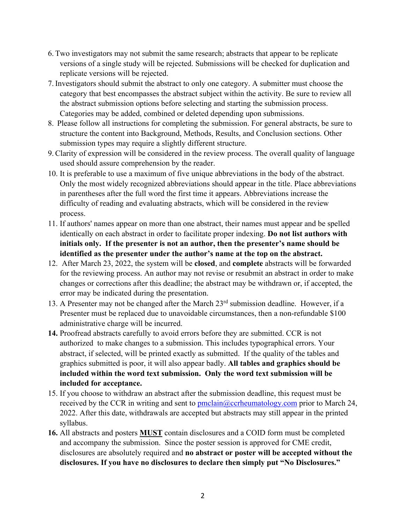- 6. Two investigators may not submit the same research; abstracts that appear to be replicate versions of a single study will be rejected. Submissions will be checked for duplication and replicate versions will be rejected.
- 7. Investigators should submit the abstract to only one category. A submitter must choose the category that best encompasses the abstract subject within the activity. Be sure to review all the abstract submission options before selecting and starting the submission process. Categories may be added, combined or deleted depending upon submissions.
- 8. Please follow all instructions for completing the submission. For general abstracts, be sure to structure the content into Background, Methods, Results, and Conclusion sections. Other submission types may require a slightly different structure.
- 9.Clarity of expression will be considered in the review process. The overall quality of language used should assure comprehension by the reader.
- 10. It is preferable to use a maximum of five unique abbreviations in the body of the abstract. Only the most widely recognized abbreviations should appear in the title. Place abbreviations in parentheses after the full word the first time it appears. Abbreviations increase the difficulty of reading and evaluating abstracts, which will be considered in the review process.
- 11. If authors' names appear on more than one abstract, their names must appear and be spelled identically on each abstract in order to facilitate proper indexing. **Do not list authors with initials only. If the presenter is not an author, then the presenter's name should be identified as the presenter under the author's name at the top on the abstract.**
- 12. After March 23, 2022, the system will be **closed**, and **complete** abstracts will be forwarded for the reviewing process. An author may not revise or resubmit an abstract in order to make changes or corrections after this deadline; the abstract may be withdrawn or, if accepted, the error may be indicated during the presentation.
- 13. A Presenter may not be changed after the March  $23<sup>rd</sup>$  submission deadline. However, if a Presenter must be replaced due to unavoidable circumstances, then a non-refundable \$100 administrative charge will be incurred.
- **14.** Proofread abstracts carefully to avoid errors before they are submitted. CCR is not authorized to make changes to a submission. This includes typographical errors. Your abstract, if selected, will be printed exactly as submitted. If the quality of the tables and graphics submitted is poor, it will also appear badly. **All tables and graphics should be included within the word text submission. Only the word text submission will be included for acceptance.**
- 15. If you choose to withdraw an abstract after the submission deadline, this request must be received by the CCR in writing and sent to  $\frac{\text{pmclain}(\partial \text{ccrheumatology.com})}{\text{prior}}$  to March 24, 2022. After this date, withdrawals are accepted but abstracts may still appear in the printed syllabus.
- **16.** All abstracts and posters **MUST** contain disclosures and a COID form must be completed and accompany the submission. Since the poster session is approved for CME credit, disclosures are absolutely required and **no abstract or poster will be accepted without the disclosures. If you have no disclosures to declare then simply put "No Disclosures."**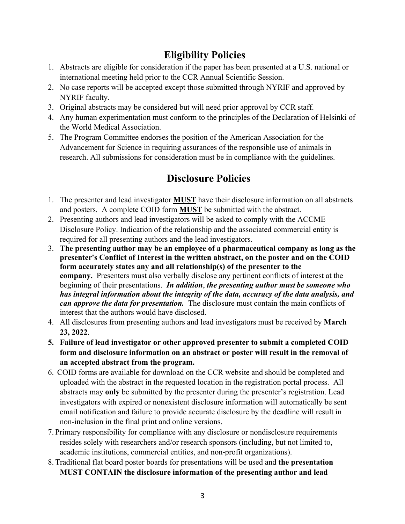# **Eligibility Policies**

- 1. Abstracts are eligible for consideration if the paper has been presented at a U.S. national or international meeting held prior to the CCR Annual Scientific Session.
- 2. No case reports will be accepted except those submitted through NYRIF and approved by NYRIF faculty.
- 3. Original abstracts may be considered but will need prior approval by CCR staff.
- 4. Any human experimentation must conform to the principles of the Declaration of Helsinki of the World Medical Association.
- 5. The Program Committee endorses the position of the American Association for the Advancement for Science in requiring assurances of the responsible use of animals in research. All submissions for consideration must be in compliance with the guidelines.

# **Disclosure Policies**

- 1. The presenter and lead investigator **MUST** have their disclosure information on all abstracts and posters. A complete COID form **MUST** be submitted with the abstract.
- 2. Presenting authors and lead investigators will be asked to comply with the ACCME Disclosure Policy. Indication of the relationship and the associated commercial entity is required for all presenting authors and the lead investigators.
- 3. **The presenting author may be an employee of a pharmaceutical company as long as the presenter's Conflict of Interest in the written abstract, on the poster and on the COID form accurately states any and all relationship(s) of the presenter to the company.** Presenters must also verbally disclose any pertinent conflicts of interest at the beginning of their presentations. *In addition*, *the presenting author must be someone who has integral information about the integrity of the data, accuracy of the data analysis, and can approve the data for presentation.* The disclosure must contain the main conflicts of interest that the authors would have disclosed.
- 4. All disclosures from presenting authors and lead investigators must be received by **March 23, 2022**.
- **5. Failure of lead investigator or other approved presenter to submit a completed COID form and disclosure information on an abstract or poster will result in the removal of an accepted abstract from the program.**
- 6. COID forms are available for download on the CCR website and should be completed and uploaded with the abstract in the requested location in the registration portal process. All abstracts may **only** be submitted by the presenter during the presenter's registration. Lead investigators with expired or nonexistent disclosure information will automatically be sent email notification and failure to provide accurate disclosure by the deadline will result in non-inclusion in the final print and online versions.
- 7. Primary responsibility for compliance with any disclosure or nondisclosure requirements resides solely with researchers and/or research sponsors (including, but not limited to, academic institutions, commercial entities, and non-profit organizations).
- 8. Traditional flat board poster boards for presentations will be used and **the presentation MUST CONTAIN the disclosure information of the presenting author and lead**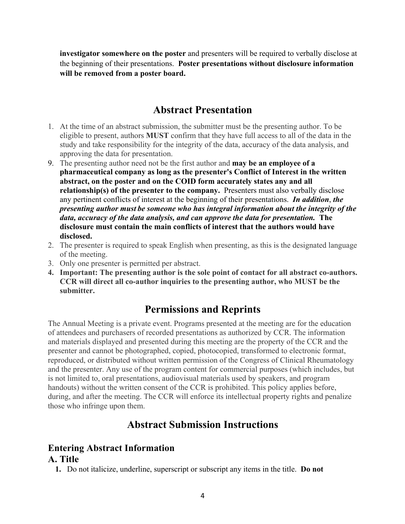**investigator somewhere on the poster** and presenters will be required to verbally disclose at the beginning of their presentations. **Poster presentations without disclosure information will be removed from a poster board.**

### **Abstract Presentation**

- 1. At the time of an abstract submission, the submitter must be the presenting author. To be eligible to present, authors **MUST** confirm that they have full access to all of the data in the study and take responsibility for the integrity of the data, accuracy of the data analysis, and approving the data for presentation.
- 9. The presenting author need not be the first author and **may be an employee of a pharmaceutical company as long as the presenter's Conflict of Interest in the written abstract, on the poster and on the COID form accurately states any and all relationship(s) of the presenter to the company.** Presenters must also verbally disclose any pertinent conflicts of interest at the beginning of their presentations. *In addition*, *the presenting author must be someone who has integral information about the integrity of the data, accuracy of the data analysis, and can approve the data for presentation.* **The disclosure must contain the main conflicts of interest that the authors would have disclosed.**
- 2. The presenter is required to speak English when presenting, as this is the designated language of the meeting.
- 3. Only one presenter is permitted per abstract.
- **4. Important: The presenting author is the sole point of contact for all abstract co-authors. CCR will direct all co-author inquiries to the presenting author, who MUST be the submitter.**

### **Permissions and Reprints**

The Annual Meeting is a private event. Programs presented at the meeting are for the education of attendees and purchasers of recorded presentations as authorized by CCR. The information and materials displayed and presented during this meeting are the property of the CCR and the presenter and cannot be photographed, copied, photocopied, transformed to electronic format, reproduced, or distributed without written permission of the Congress of Clinical Rheumatology and the presenter. Any use of the program content for commercial purposes (which includes, but is not limited to, oral presentations, audiovisual materials used by speakers, and program handouts) without the written consent of the CCR is prohibited. This policy applies before, during, and after the meeting. The CCR will enforce its intellectual property rights and penalize those who infringe upon them.

### **Abstract Submission Instructions**

# **Entering Abstract Information**

#### **A. Title**

**1.** Do not italicize, underline, superscript or subscript any items in the title. **Do not**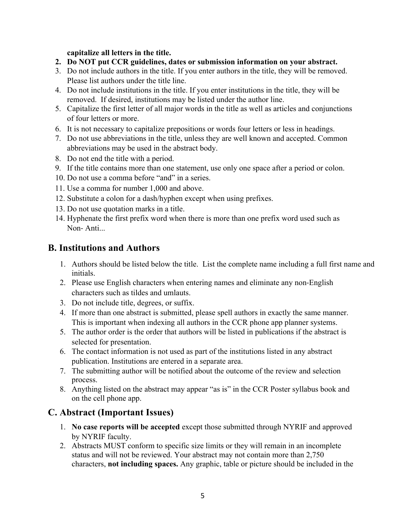#### **capitalize all letters in the title.**

- **2. Do NOT put CCR guidelines, dates or submission information on your abstract.**
- 3. Do not include authors in the title. If you enter authors in the title, they will be removed. Please list authors under the title line.
- 4. Do not include institutions in the title. If you enter institutions in the title, they will be removed. If desired, institutions may be listed under the author line.
- 5. Capitalize the first letter of all major words in the title as well as articles and conjunctions of four letters or more.
- 6. It is not necessary to capitalize prepositions or words four letters or less in headings.
- 7. Do not use abbreviations in the title, unless they are well known and accepted. Common abbreviations may be used in the abstract body.
- 8. Do not end the title with a period.
- 9. If the title contains more than one statement, use only one space after a period or colon.
- 10. Do not use a comma before "and" in a series.
- 11. Use a comma for number 1,000 and above.
- 12. Substitute a colon for a dash/hyphen except when using prefixes.
- 13. Do not use quotation marks in a title.
- 14. Hyphenate the first prefix word when there is more than one prefix word used such as Non- Anti...

### **B. Institutions and Authors**

- 1. Authors should be listed below the title. List the complete name including a full first name and initials.
- 2. Please use English characters when entering names and eliminate any non-English characters such as tildes and umlauts.
- 3. Do not include title, degrees, or suffix.
- 4. If more than one abstract is submitted, please spell authors in exactly the same manner. This is important when indexing all authors in the CCR phone app planner systems.
- 5. The author order is the order that authors will be listed in publications if the abstract is selected for presentation.
- 6. The contact information is not used as part of the institutions listed in any abstract publication. Institutions are entered in a separate area.
- 7. The submitting author will be notified about the outcome of the review and selection process.
- 8. Anything listed on the abstract may appear "as is" in the CCR Poster syllabus book and on the cell phone app.

## **C. Abstract (Important Issues)**

- 1. **No case reports will be accepted** except those submitted through NYRIF and approved by NYRIF faculty.
- 2. Abstracts MUST conform to specific size limits or they will remain in an incomplete status and will not be reviewed. Your abstract may not contain more than 2,750 characters, **not including spaces.** Any graphic, table or picture should be included in the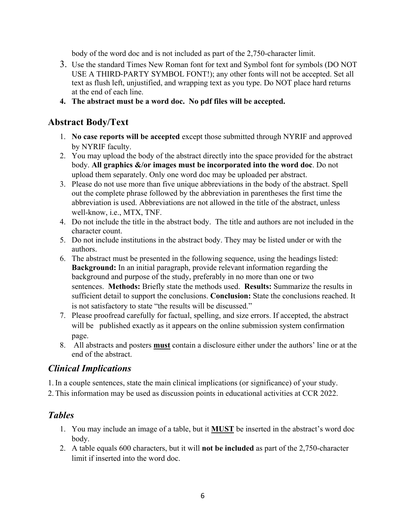body of the word doc and is not included as part of the 2,750-character limit.

- 3. Use the standard Times New Roman font for text and Symbol font for symbols (DO NOT USE A THIRD-PARTY SYMBOL FONT!); any other fonts will not be accepted. Set all text as flush left, unjustified, and wrapping text as you type. Do NOT place hard returns at the end of each line.
- **4. The abstract must be a word doc. No pdf files will be accepted.**

### **Abstract Body/Text**

- 1. **No case reports will be accepted** except those submitted through NYRIF and approved by NYRIF faculty.
- 2. You may upload the body of the abstract directly into the space provided for the abstract body. **All graphics &/or images must be incorporated into the word doc**. Do not upload them separately. Only one word doc may be uploaded per abstract.
- 3. Please do not use more than five unique abbreviations in the body of the abstract. Spell out the complete phrase followed by the abbreviation in parentheses the first time the abbreviation is used. Abbreviations are not allowed in the title of the abstract, unless well-know, i.e., MTX, TNF.
- 4. Do not include the title in the abstract body. The title and authors are not included in the character count.
- 5. Do not include institutions in the abstract body. They may be listed under or with the authors.
- 6. The abstract must be presented in the following sequence, using the headings listed: **Background:** In an initial paragraph, provide relevant information regarding the background and purpose of the study, preferably in no more than one or two sentences. **Methods:** Briefly state the methods used. **Results:** Summarize the results in sufficient detail to support the conclusions. **Conclusion:** State the conclusions reached. It is not satisfactory to state "the results will be discussed."
- 7. Please proofread carefully for factual, spelling, and size errors. If accepted, the abstract will be published exactly as it appears on the online submission system confirmation page.
- 8. All abstracts and posters **must** contain a disclosure either under the authors' line or at the end of the abstract.

### *Clinical Implications*

1. In a couple sentences, state the main clinical implications (or significance) of your study.

2. This information may be used as discussion points in educational activities at CCR 2022.

### *Tables*

- 1. You may include an image of a table, but it **MUST** be inserted in the abstract's word doc body.
- 2. A table equals 600 characters, but it will **not be included** as part of the 2,750-character limit if inserted into the word doc.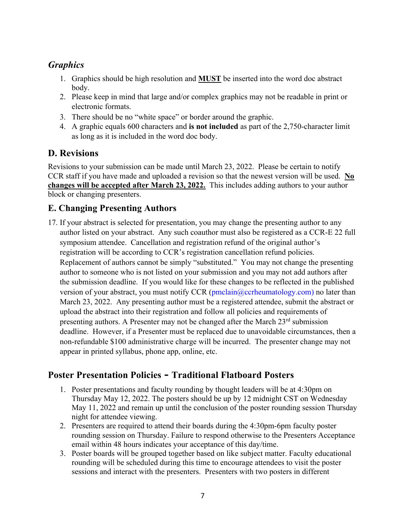## *Graphics*

- 1. Graphics should be high resolution and **MUST** be inserted into the word doc abstract body.
- 2. Please keep in mind that large and/or complex graphics may not be readable in print or electronic formats.
- 3. There should be no "white space" or border around the graphic.
- 4. A graphic equals 600 characters and **is not included** as part of the 2,750-character limit as long as it is included in the word doc body.

### **D. Revisions**

Revisions to your submission can be made until March 23, 2022. Please be certain to notify CCR staff if you have made and uploaded a revision so that the newest version will be used. **No changes will be accepted after March 23, 2022.** This includes adding authors to your author block or changing presenters.

### **E. Changing Presenting Authors**

17. If your abstract is selected for presentation, you may change the presenting author to any author listed on your abstract. Any such coauthor must also be registered as a CCR-E 22 full symposium attendee. Cancellation and registration refund of the original author's registration will be according to CCR's registration cancellation refund policies. Replacement of authors cannot be simply "substituted." You may not change the presenting author to someone who is not listed on your submission and you may not add authors after the submission deadline. If you would like for these changes to be reflected in the published version of your abstract, you must notify CCR ( $pmclain@ccrheumatology.com$ ) no later than March 23, 2022. Any presenting author must be a registered attendee, submit the abstract or upload the abstract into their registration and follow all policies and requirements of presenting authors. A Presenter may not be changed after the March  $23<sup>rd</sup>$  submission deadline. However, if a Presenter must be replaced due to unavoidable circumstances, then a non-refundable \$100 administrative charge will be incurred. The presenter change may not appear in printed syllabus, phone app, online, etc.

### **Poster Presentation Policies - Traditional Flatboard Posters**

- 1. Poster presentations and faculty rounding by thought leaders will be at 4:30pm on Thursday May 12, 2022. The posters should be up by 12 midnight CST on Wednesday May 11, 2022 and remain up until the conclusion of the poster rounding session Thursday night for attendee viewing.
- 2. Presenters are required to attend their boards during the 4:30pm-6pm faculty poster rounding session on Thursday. Failure to respond otherwise to the Presenters Acceptance email within 48 hours indicates your acceptance of this day/time.
- 3. Poster boards will be grouped together based on like subject matter. Faculty educational rounding will be scheduled during this time to encourage attendees to visit the poster sessions and interact with the presenters. Presenters with two posters in different